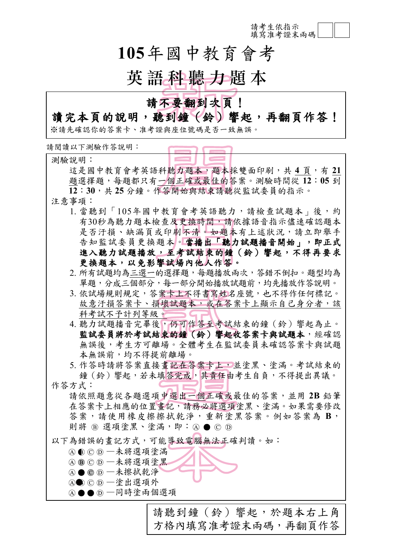請考生依指示 填寫准考證末兩碼

# **105**年國中教育會考

# 英語科聽力題本

## 請不要翻到次頁!

## 讀完本頁的說明,聽到鐘(鈴)響起,再翻頁作答!

※請先確認你的答案卡、准考證與座位號碼是否一致無誤。

請閱讀以下測驗作答說明:

測驗說明: 這是國中教育會考英語科聽力題本,題本採雙面印刷,共 **4** 頁,有 **21** 題選擇題,每題都只有一個正確或最佳的答案。測驗時間從 **12**:**05** 到 **12**:**30**,共 **25** 分鐘。作答開始與結束請聽從監試委員的指示。 注意事項: 1. 當聽到「105年國中教育會考英語聽力,請檢查試題本」後,約 有30秒為聽力題本檢查及更換時間,請依據語音指示儘速確認題本 是否汗損、缺漏頁或印刷不清。如題本有上述狀況,請立即舉手 告知監試委員更換題本。當播出「聽力試題播音開始」,即正式 進入聽力試題播放,至考試結束的鐘(鈴)響起,不得再要求 更換題本,以免影響試場內他人作答。 2. 所有試題均為三選一的選擇題,每題播放兩次,答錯不倒扣。題型均為 單題,分成三個部分,每一部分開始播放試題前,均先播放作答說明。 3. 依試場規則規定, 答案卡上不得書寫姓名座號, 也不得作任何標記。 故意汗損答案卡、損壞試題本,或在答案卡上顯示自己身分者,該 科考試不予計列等級。 4. 聽力試題播音完畢後,仍可作答至考試結束的鐘(鈴)響起為止。 監試委員將於考試結束的鐘(鈴)響起收答案卡與試題本,經確認 無誤後,考生方可離場。全體考生在監試委員未確認答案卡與試題 本無誤前,均不得提前離場。 5. 作答時請將答案直接書記在答案卡上,並塗黑、塗滿。考試結束的 鐘(鈴)響起,若未填答完成,其責任由考生自負,不得提出異議。 作答方式: 請依照題意從各題選項中選出一個正確或最佳的答案,並用 **2B** 鉛筆 在答案卡上相應的位置畫記,請務必將選項塗黑、塗滿。如果需要修改 答案,請使用橡皮擦擦拭乾淨,重新塗黑答案。例如答案為 **B**, 則將 B 選項塗黑、塗滿,即: A ● © D 以下為錯誤的書記方式,可能導致電腦無法正確判讀。如: **④** © ⊙ 一未將選項塗滿 ABCD -未將選項塗黑  $A$  ● ○ ① —未擦拭乾淨 A● CD-塗出選項外 ④●● 5 一同時塗兩個選項

請聽到鐘(鈴)響起,於題本右上角 方格內填寫准考證末兩碼,再翻頁作答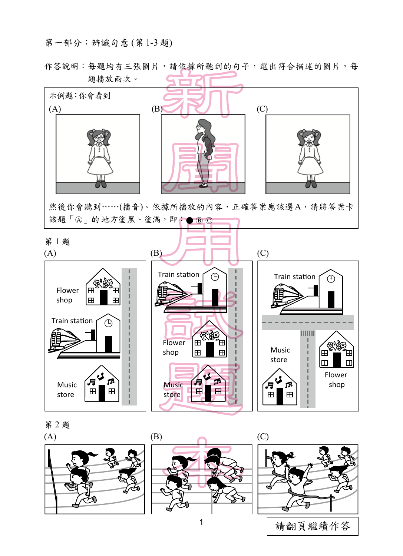#### 第一部分:辨識句意 (第 1-3 題)

作答說明:每題均有三張圖片,請依據所聽到的句子,選出符合描述的圖片,每 題播放兩次。





1 | 請翻頁繼續作答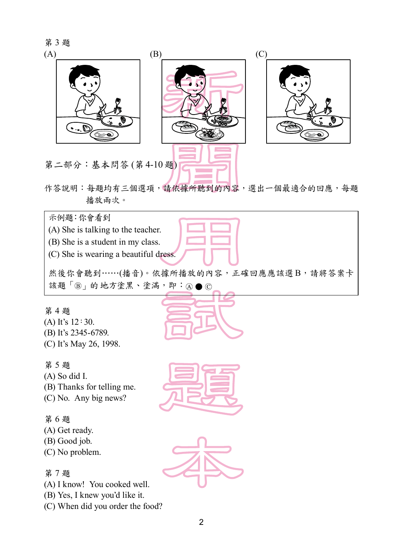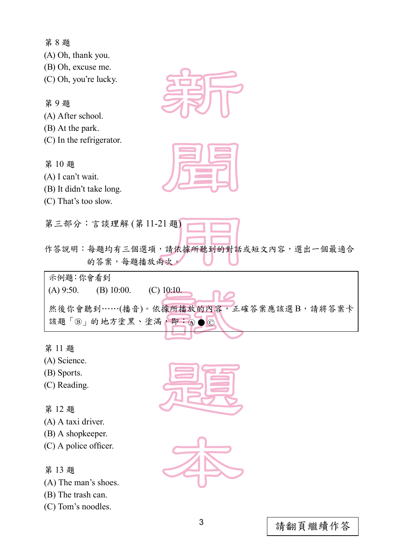第 8 題 (A) Oh, thank you. (B) Oh, excuse me. (C) Oh, you're lucky. 第 9 題 (A) After school. (B) At the park. (C) In the refrigerator. 第 10 題 (A) I can't wait. (B) It didn't take long. (C) That's too slow. 第三部分:言談理解 (第 11-21 題) 作答說明:每題均有三個選項,請依據所聽到的對話或短文內容,選出一個最適合 的答案,每題播放兩次。 示例題:你會看到 (A) 9:50. (B) 10:00. (C) 10:10. 然後你會聽到……(播音)。依據所播放的內容,正確答案應該選B,請將答案卡 該題「B」的地方塗黑、塗滿,即:4◎ 第 11 題 (A) Science. (B) Sports. (C) Reading.

第 12 題

- (A) A taxi driver.
- (B) A shopkeeper.
- (C) A police officer.

### 第 13 題

(A) The man's shoes.

(B) The trash can.

(C) Tom's noodles.

![](_page_3_Picture_10.jpeg)